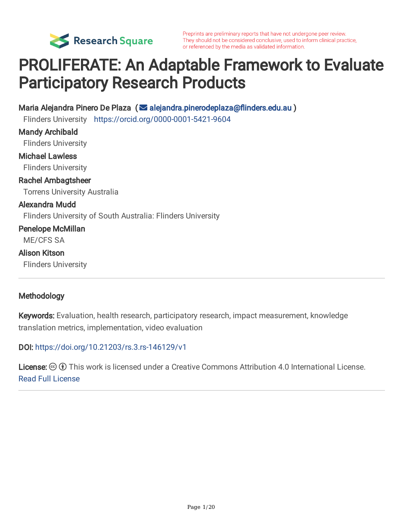

Preprints are preliminary reports that have not undergone peer review. They should not be considered conclusive, used to inform clinical practice, or referenced by the media as validated information.

# PROLIFERATE: An Adaptable Framework to Evaluate Participatory Research Products

Maria Alejandra Pinero De Plaza ( alejandra.pinerodeplaza@flinders.edu.au )

Flinders University <https://orcid.org/0000-0001-5421-9604>

Mandy Archibald Flinders University Michael Lawless Flinders University Rachel Ambagtsheer Torrens University Australia Alexandra Mudd Flinders University of South Australia: Flinders University Penelope McMillan ME/CFS SA Alison Kitson Flinders University

#### Methodology

Keywords: Evaluation, health research, participatory research, impact measurement, knowledge translation metrics, implementation, video evaluation

DOI: <https://doi.org/10.21203/rs.3.rs-146129/v1>

**License:**  $\textcircled{f}$  This work is licensed under a Creative Commons Attribution 4.0 International License. Read Full [License](https://creativecommons.org/licenses/by/4.0/)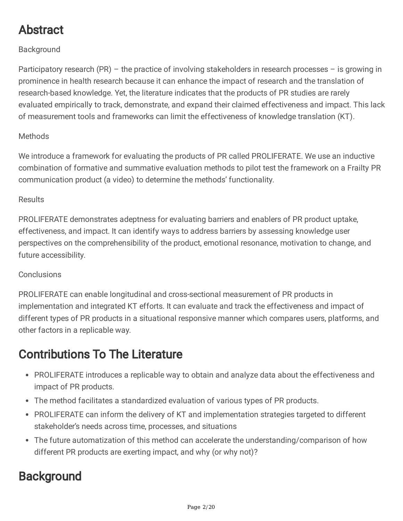# Abstract

#### Background

Participatory research (PR) – the practice of involving stakeholders in research processes – is growing in prominence in health research because it can enhance the impact of research and the translation of research-based knowledge. Yet, the literature indicates that the products of PR studies are rarely evaluated empirically to track, demonstrate, and expand their claimed effectiveness and impact. This lack of measurement tools and frameworks can limit the effectiveness of knowledge translation (KT).

#### **Methods**

We introduce a framework for evaluating the products of PR called PROLIFERATE. We use an inductive combination of formative and summative evaluation methods to pilot test the framework on a Frailty PR communication product (a video) to determine the methods' functionality.

#### Results

PROLIFERATE demonstrates adeptness for evaluating barriers and enablers of PR product uptake, effectiveness, and impact. It can identify ways to address barriers by assessing knowledge user perspectives on the comprehensibility of the product, emotional resonance, motivation to change, and future accessibility.

#### **Conclusions**

PROLIFERATE can enable longitudinal and cross-sectional measurement of PR products in implementation and integrated KT efforts. It can evaluate and track the effectiveness and impact of different types of PR products in a situational responsive manner which compares users, platforms, and other factors in a replicable way.

### Contributions To The Literature

- PROLIFERATE introduces a replicable way to obtain and analyze data about the effectiveness and impact of PR products.
- The method facilitates a standardized evaluation of various types of PR products.
- PROLIFERATE can inform the delivery of KT and implementation strategies targeted to different stakeholder's needs across time, processes, and situations
- The future automatization of this method can accelerate the understanding/comparison of how different PR products are exerting impact, and why (or why not)?

### **Background**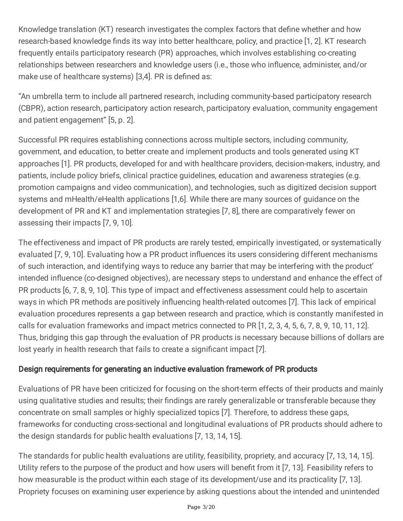Knowledge translation (KT) research investigates the complex factors that define whether and how research-based knowledge finds its way into better healthcare, policy, and practice [1, 2]. KT research frequently entails participatory research (PR) approaches, which involves establishing co-creating relationships between researchers and knowledge users (i.e., those who influence, administer, and/or make use of healthcare systems) [3,4]. PR is defined as:

"An umbrella term to include all partnered research, including community-based participatory research (CBPR), action research, participatory action research, participatory evaluation, community engagement and patient engagement" [5, p. 2].

Successful PR requires establishing connections across multiple sectors, including community, government, and education, to better create and implement products and tools generated using KT approaches [1]. PR products, developed for and with healthcare providers, decision-makers, industry, and patients, include policy briefs, clinical practice guidelines, education and awareness strategies (e.g. promotion campaigns and video communication), and technologies, such as digitized decision support systems and mHealth/eHealth applications [1,6]. While there are many sources of guidance on the development of PR and KT and implementation strategies [7, 8], there are comparatively fewer on assessing their impacts [7, 9, 10].

The effectiveness and impact of PR products are rarely tested, empirically investigated, or systematically evaluated [7, 9, 10]. Evaluating how a PR product influences its users considering different mechanisms of such interaction, and identifying ways to reduce any barrier that may be interfering with the product' intended influence (co-designed objectives), are necessary steps to understand and enhance the effect of PR products [6, 7, 8, 9, 10]. This type of impact and effectiveness assessment could help to ascertain ways in which PR methods are positively influencing health-related outcomes [7]. This lack of empirical evaluation procedures represents a gap between research and practice, which is constantly manifested in calls for evaluation frameworks and impact metrics connected to PR [1, 2, 3, 4, 5, 6, 7, 8, 9, 10, 11, 12]. Thus, bridging this gap through the evaluation of PR products is necessary because billions of dollars are lost yearly in health research that fails to create a significant impact [7].

#### Design requirements for generating an inductive evaluation framework of PR products

Evaluations of PR have been criticized for focusing on the short-term effects of their products and mainly using qualitative studies and results; their findings are rarely generalizable or transferable because they concentrate on small samples or highly specialized topics [7]. Therefore, to address these gaps, frameworks for conducting cross-sectional and longitudinal evaluations of PR products should adhere to the design standards for public health evaluations [7, 13, 14, 15].

The standards for public health evaluations are utility, feasibility, propriety, and accuracy [7, 13, 14, 15]. Utility refers to the purpose of the product and how users will benefit from it [7, 13]. Feasibility refers to how measurable is the product within each stage of its development/use and its practicality [7, 13]. Propriety focuses on examining user experience by asking questions about the intended and unintended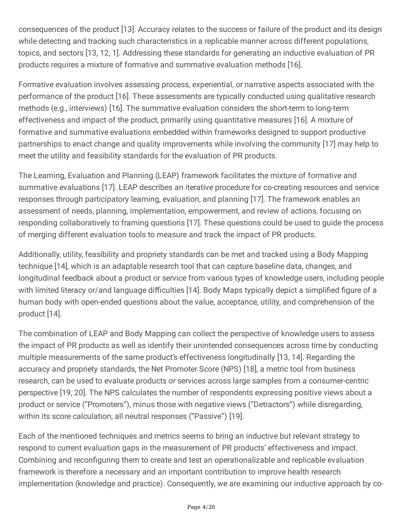consequences of the product [13]. Accuracy relates to the success or failure of the product and its design while detecting and tracking such characteristics in a replicable manner across different populations, topics, and sectors [13, 12, 1]. Addressing these standards for generating an inductive evaluation of PR products requires a mixture of formative and summative evaluation methods [16].

Formative evaluation involves assessing process, experiential, or narrative aspects associated with the performance of the product [16]. These assessments are typically conducted using qualitative research methods (e.g., interviews) [16]. The summative evaluation considers the short-term to long-term effectiveness and impact of the product, primarily using quantitative measures [16]. A mixture of formative and summative evaluations embedded within frameworks designed to support productive partnerships to enact change and quality improvements while involving the community [17] may help to meet the utility and feasibility standards for the evaluation of PR products.

The Learning, Evaluation and Planning (LEAP) framework facilitates the mixture of formative and summative evaluations [17]. LEAP describes an iterative procedure for co-creating resources and service responses through participatory learning, evaluation, and planning [17]. The framework enables an assessment of needs, planning, implementation, empowerment, and review of actions, focusing on responding collaboratively to framing questions [17]. These questions could be used to guide the process of merging different evaluation tools to measure and track the impact of PR products.

Additionally, utility, feasibility and propriety standards can be met and tracked using a Body Mapping technique [14], which is an adaptable research tool that can capture baseline data, changes, and longitudinal feedback about a product or service from various types of knowledge users, including people with limited literacy or/and language difficulties [14]. Body Maps typically depict a simplified figure of a human body with open-ended questions about the value, acceptance, utility, and comprehension of the product [14].

The combination of LEAP and Body Mapping can collect the perspective of knowledge users to assess the impact of PR products as well as identify their unintended consequences across time by conducting multiple measurements of the same product's effectiveness longitudinally [13, 14]. Regarding the accuracy and propriety standards, the Net Promoter Score (NPS) [18], a metric tool from business research, can be used to evaluate products or services across large samples from a consumer-centric perspective [19, 20]. The NPS calculates the number of respondents expressing positive views about a product or service ("Promoters"), minus those with negative views ("Detractors") while disregarding, within its score calculation, all neutral responses ("Passive") [19].

Each of the mentioned techniques and metrics seems to bring an inductive but relevant strategy to respond to current evaluation gaps in the measurement of PR products' effectiveness and impact. Combining and reconfiguring them to create and test an operationalizable and replicable evaluation framework is therefore a necessary and an important contribution to improve health research implementation (knowledge and practice). Consequently, we are examining our inductive approach by co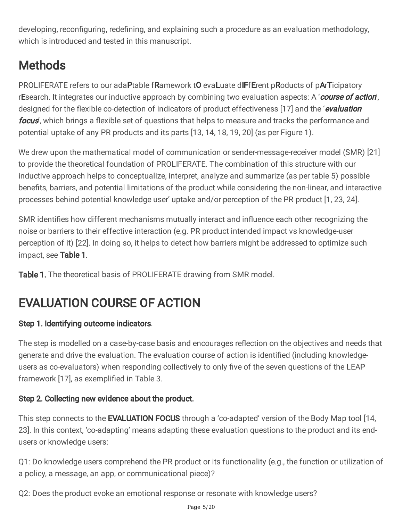developing, reconfiguring, redefining, and explaining such a procedure as an evaluation methodology, which is introduced and tested in this manuscript.

# **Methods**

PROLIFERATE refers to our adaPtable fRamework tO evaLuate dIFfErent pRoducts of pArTicipatory rEsearch. It integrates our inductive approach by combining two evaluation aspects: A 'course of action', designed for the flexible co-detection of indicators of product effectiveness [17] and the 'evaluation focus', which brings a flexible set of questions that helps to measure and tracks the performance and potential uptake of any PR products and its parts [13, 14, 18, 19, 20] (as per Figure 1).

We drew upon the mathematical model of communication or sender-message-receiver model (SMR) [21] to provide the theoretical foundation of PROLIFERATE. The combination of this structure with our inductive approach helps to conceptualize, interpret, analyze and summarize (as per table 5) possible benefits, barriers, and potential limitations of the product while considering the non-linear, and interactive processes behind potential knowledge user' uptake and/or perception of the PR product [1, 23, 24].

SMR identifies how different mechanisms mutually interact and influence each other recognizing the noise or barriers to their effective interaction (e.g. PR product intended impact vs knowledge-user perception of it) [22]. In doing so, it helps to detect how barriers might be addressed to optimize such impact, see Table 1.

Table 1. The theoretical basis of PROLIFERATE drawing from SMR model.

# EVALUATION COURSE OF ACTION

### Step 1. Identifying outcome indicators.

The step is modelled on a case-by-case basis and encourages reflection on the objectives and needs that generate and drive the evaluation. The evaluation course of action is identified (including knowledgeusers as co-evaluators) when responding collectively to only five of the seven questions of the LEAP framework [17], as exemplified in Table 3.

### Step 2. Collecting new evidence about the product.

This step connects to the **EVALUATION FOCUS** through a 'co-adapted' version of the Body Map tool [14, 23]. In this context, 'co-adapting' means adapting these evaluation questions to the product and its endusers or knowledge users:

Q1: Do knowledge users comprehend the PR product or its functionality (e.g., the function or utilization of a policy, a message, an app, or communicational piece)?

Q2: Does the product evoke an emotional response or resonate with knowledge users?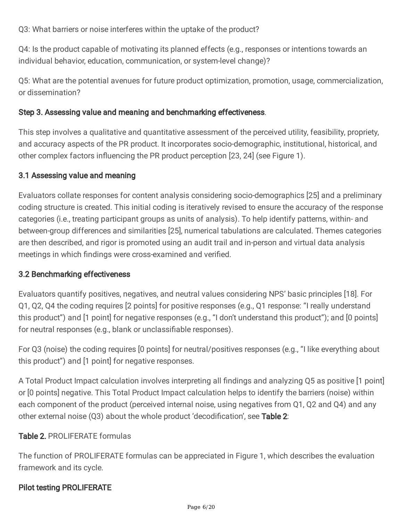Q3: What barriers or noise interferes within the uptake of the product?

Q4: Is the product capable of motivating its planned effects (e.g., responses or intentions towards an individual behavior, education, communication, or system-level change)?

Q5: What are the potential avenues for future product optimization, promotion, usage, commercialization, or dissemination?

#### Step 3. Assessing value and meaning and benchmarking effectiveness.

This step involves a qualitative and quantitative assessment of the perceived utility, feasibility, propriety, and accuracy aspects of the PR product. It incorporates socio-demographic, institutional, historical, and other complex factors influencing the PR product perception [23, 24] (see Figure 1).

#### 3.1 Assessing value and meaning

Evaluators collate responses for content analysis considering socio-demographics [25] and a preliminary coding structure is created. This initial coding is iteratively revised to ensure the accuracy of the response categories (i.e., treating participant groups as units of analysis). To help identify patterns, within- and between-group differences and similarities [25], numerical tabulations are calculated. Themes categories are then described, and rigor is promoted using an audit trail and in-person and virtual data analysis meetings in which findings were cross-examined and verified.

#### 3.2 Benchmarking effectiveness

Evaluators quantify positives, negatives, and neutral values considering NPS' basic principles [18]. For Q1, Q2, Q4 the coding requires [2 points] for positive responses (e.g., Q1 response: "I really understand this product") and [1 point] for negative responses (e.g., "I don't understand this product"); and [0 points] for neutral responses (e.g., blank or unclassifiable responses).

For Q3 (noise) the coding requires [0 points] for neutral/positives responses (e.g., "I like everything about this product") and [1 point] for negative responses.

A Total Product Impact calculation involves interpreting all findings and analyzing Q5 as positive [1 point] or [0 points] negative. This Total Product Impact calculation helps to identify the barriers (noise) within each component of the product (perceived internal noise, using negatives from Q1, Q2 and Q4) and any other external noise  $(Q3)$  about the whole product 'decodification', see Table 2:

#### Table 2. PROLIFERATE formulas

The function of PROLIFERATE formulas can be appreciated in Figure 1, which describes the evaluation framework and its cycle.

#### Pilot testing PROLIFERATE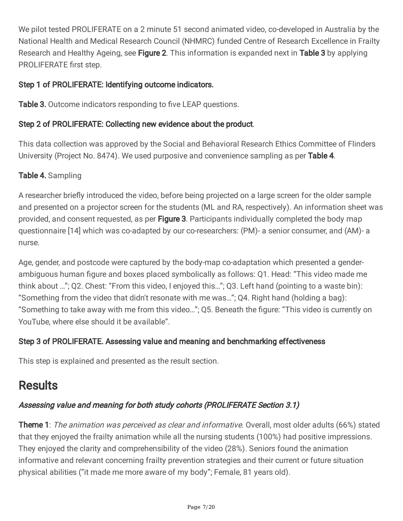We pilot tested PROLIFERATE on a 2 minute 51 second animated video, co-developed in Australia by the National Health and Medical Research Council (NHMRC) funded Centre of Research Excellence in Frailty Research and Healthy Ageing, see Figure 2. This information is expanded next in Table 3 by applying PROLIFERATE first step.

#### Step 1 of PROLIFERATE: Identifying outcome indicators.

Table 3. Outcome indicators responding to five LEAP questions.

#### Step 2 of PROLIFERATE: Collecting new evidence about the product.

This data collection was approved by the Social and Behavioral Research Ethics Committee of Flinders University (Project No. 8474). We used purposive and convenience sampling as per Table 4.

#### Table 4. Sampling

A researcher briefly introduced the video, before being projected on a large screen for the older sample and presented on a projector screen for the students (ML and RA, respectively). An information sheet was provided, and consent requested, as per Figure 3. Participants individually completed the body map questionnaire [14] which was co-adapted by our co-researchers: (PM)- a senior consumer, and (AM)- a nurse.

Age, gender, and postcode were captured by the body-map co-adaptation which presented a genderambiguous human figure and boxes placed symbolically as follows: Q1. Head: "This video made me think about …"; Q2. Chest: "From this video, I enjoyed this…"; Q3. Left hand (pointing to a waste bin): "Something from the video that didn't resonate with me was…"; Q4. Right hand (holding a bag): "Something to take away with me from this video..."; Q5. Beneath the figure: "This video is currently on YouTube, where else should it be available".

#### Step 3 of PROLIFERATE. Assessing value and meaning and benchmarking effectiveness

This step is explained and presented as the result section.

### **Results**

#### Assessing value and meaning for both study cohorts (PROLIFERATE Section 3.1)

Theme 1: The animation was perceived as clear and informative. Overall, most older adults (66%) stated that they enjoyed the frailty animation while all the nursing students (100%) had positive impressions. They enjoyed the clarity and comprehensibility of the video (28%). Seniors found the animation informative and relevant concerning frailty prevention strategies and their current or future situation physical abilities ("it made me more aware of my body"; Female, 81 years old).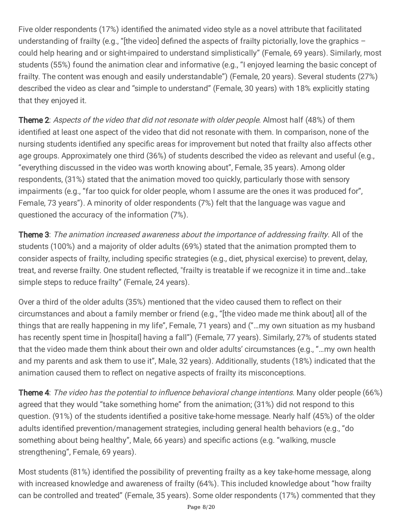Five older respondents (17%) identified the animated video style as a novel attribute that facilitated understanding of frailty (e.g., "[the video] defined the aspects of frailty pictorially, love the graphics  $$ could help hearing and or sight-impaired to understand simplistically" (Female, 69 years). Similarly, most students (55%) found the animation clear and informative (e.g., "I enjoyed learning the basic concept of frailty. The content was enough and easily understandable") (Female, 20 years). Several students (27%) described the video as clear and "simple to understand" (Female, 30 years) with 18% explicitly stating that they enjoyed it.

Theme 2: Aspects of the video that did not resonate with older people. Almost half (48%) of them identified at least one aspect of the video that did not resonate with them. In comparison, none of the nursing students identified any specific areas for improvement but noted that frailty also affects other age groups. Approximately one third (36%) of students described the video as relevant and useful (e.g., "everything discussed in the video was worth knowing about", Female, 35 years). Among older respondents, (31%) stated that the animation moved too quickly, particularly those with sensory impairments (e.g., "far too quick for older people, whom I assume are the ones it was produced for", Female, 73 years"). A minority of older respondents (7%) felt that the language was vague and questioned the accuracy of the information (7%).

**Theme 3**: The animation increased awareness about the importance of addressing frailty. All of the students (100%) and a majority of older adults (69%) stated that the animation prompted them to consider aspects of frailty, including specific strategies (e.g., diet, physical exercise) to prevent, delay, treat, and reverse frailty. One student reflected, "frailty is treatable if we recognize it in time and...take simple steps to reduce frailty" (Female, 24 years).

Over a third of the older adults (35%) mentioned that the video caused them to reflect on their circumstances and about a family member or friend (e.g., "[the video made me think about] all of the things that are really happening in my life", Female, 71 years) and ("…my own situation as my husband has recently spent time in [hospital] having a fall") (Female, 77 years). Similarly, 27% of students stated that the video made them think about their own and older adults' circumstances (e.g., "…my own health and my parents and ask them to use it", Male, 32 years). Additionally, students (18%) indicated that the animation caused them to reflect on negative aspects of frailty its misconceptions.

**Theme 4**: *The video has the potential to influence behavioral change intentions*. Many older people (66%) agreed that they would "take something home" from the animation; (31%) did not respond to this question. (91%) of the students identified a positive take-home message. Nearly half (45%) of the older adults identified prevention/management strategies, including general health behaviors (e.g., "do something about being healthy", Male, 66 years) and specific actions (e.g. "walking, muscle strengthening", Female, 69 years).

Most students (81%) identified the possibility of preventing frailty as a key take-home message, along with increased knowledge and awareness of frailty (64%). This included knowledge about "how frailty can be controlled and treated" (Female, 35 years). Some older respondents (17%) commented that they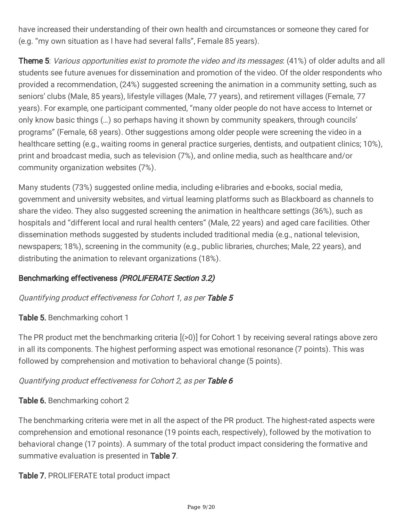have increased their understanding of their own health and circumstances or someone they cared for (e.g. "my own situation as I have had several falls", Female 85 years).

**Theme 5**: *Various opportunities exist to promote the video and its messages*: (41%) of older adults and all students see future avenues for dissemination and promotion of the video. Of the older respondents who provided a recommendation, (24%) suggested screening the animation in a community setting, such as seniors' clubs (Male, 85 years), lifestyle villages (Male, 77 years), and retirement villages (Female, 77 years). For example, one participant commented, "many older people do not have access to Internet or only know basic things (…) so perhaps having it shown by community speakers, through councils' programs" (Female, 68 years). Other suggestions among older people were screening the video in a healthcare setting (e.g., waiting rooms in general practice surgeries, dentists, and outpatient clinics; 10%), print and broadcast media, such as television (7%), and online media, such as healthcare and/or community organization websites (7%).

Many students (73%) suggested online media, including e-libraries and e-books, social media, government and university websites, and virtual learning platforms such as Blackboard as channels to share the video. They also suggested screening the animation in healthcare settings (36%), such as hospitals and "different local and rural health centers" (Male, 22 years) and aged care facilities. Other dissemination methods suggested by students included traditional media (e.g., national television, newspapers; 18%), screening in the community (e.g., public libraries, churches; Male, 22 years), and distributing the animation to relevant organizations (18%).

#### Benchmarking effectiveness (PROLIFERATE Section 3.2)

#### Quantifying product effectiveness for Cohort 1, as per Table 5

#### **Table 5.** Benchmarking cohort 1

The PR product met the benchmarking criteria [(>0)] for Cohort 1 by receiving several ratings above zero in all its components. The highest performing aspect was emotional resonance (7 points). This was followed by comprehension and motivation to behavioral change (5 points).

#### Quantifying product effectiveness for Cohort 2, as per Table 6

#### Table 6. Benchmarking cohort 2

The benchmarking criteria were met in all the aspect of the PR product. The highest-rated aspects were comprehension and emotional resonance (19 points each, respectively), followed by the motivation to behavioral change (17 points). A summary of the total product impact considering the formative and summative evaluation is presented in Table 7.

Table 7. PROLIFERATE total product impact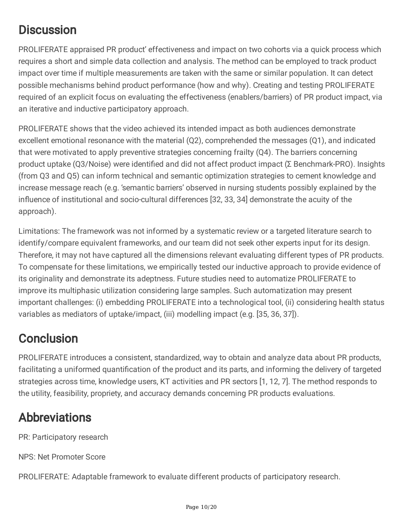# **Discussion**

PROLIFERATE appraised PR product' effectiveness and impact on two cohorts via a quick process which requires a short and simple data collection and analysis. The method can be employed to track product impact over time if multiple measurements are taken with the same or similar population. It can detect possible mechanisms behind product performance (how and why). Creating and testing PROLIFERATE required of an explicit focus on evaluating the effectiveness (enablers/barriers) of PR product impact, via an iterative and inductive participatory approach.

PROLIFERATE shows that the video achieved its intended impact as both audiences demonstrate excellent emotional resonance with the material (Q2), comprehended the messages (Q1), and indicated that were motivated to apply preventive strategies concerning frailty (Q4). The barriers concerning product uptake (Q3/Noise) were identified and did not affect product impact (Σ Benchmark-PRO). Insights (from Q3 and Q5) can inform technical and semantic optimization strategies to cement knowledge and increase message reach (e.g. 'semantic barriers' observed in nursing students possibly explained by the influence of institutional and socio-cultural differences [32, 33, 34] demonstrate the acuity of the approach).

Limitations: The framework was not informed by a systematic review or a targeted literature search to identify/compare equivalent frameworks, and our team did not seek other experts input for its design. Therefore, it may not have captured all the dimensions relevant evaluating different types of PR products. To compensate for these limitations, we empirically tested our inductive approach to provide evidence of its originality and demonstrate its adeptness. Future studies need to automatize PROLIFERATE to improve its multiphasic utilization considering large samples. Such automatization may present important challenges: (i) embedding PROLIFERATE into a technological tool, (ii) considering health status variables as mediators of uptake/impact, (iii) modelling impact (e.g. [35, 36, 37]).

### **Conclusion**

PROLIFERATE introduces a consistent, standardized, way to obtain and analyze data about PR products, facilitating a uniformed quantification of the product and its parts, and informing the delivery of targeted strategies across time, knowledge users, KT activities and PR sectors [1, 12, 7]. The method responds to the utility, feasibility, propriety, and accuracy demands concerning PR products evaluations.

### Abbreviations

PR: Participatory research

NPS: Net Promoter Score

PROLIFERATE: Adaptable framework to evaluate different products of participatory research.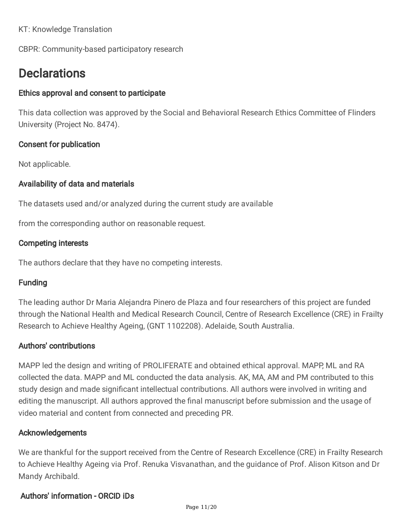KT: Knowledge Translation

CBPR: Community-based participatory research

### **Declarations**

#### Ethics approval and consent to participate

This data collection was approved by the Social and Behavioral Research Ethics Committee of Flinders University (Project No. 8474).

#### Consent for publication

Not applicable.

#### Availability of data and materials

The datasets used and/or analyzed during the current study are available

from the corresponding author on reasonable request.

#### Competing interests

The authors declare that they have no competing interests.

#### Funding

The leading author Dr Maria Alejandra Pinero de Plaza and four researchers of this project are funded through the National Health and Medical Research Council, Centre of Research Excellence (CRE) in Frailty Research to Achieve Healthy Ageing, (GNT 1102208). Adelaide, South Australia.

#### Authors' contributions

MAPP led the design and writing of PROLIFERATE and obtained ethical approval. MAPP, ML and RA collected the data. MAPP and ML conducted the data analysis. AK, MA, AM and PM contributed to this study design and made significant intellectual contributions. All authors were involved in writing and editing the manuscript. All authors approved the final manuscript before submission and the usage of video material and content from connected and preceding PR.

#### Acknowledgements

We are thankful for the support received from the Centre of Research Excellence (CRE) in Frailty Research to Achieve Healthy Ageing via Prof. Renuka Visvanathan, and the guidance of Prof. Alison Kitson and Dr Mandy Archibald.

#### Authors' information - ORCID iDs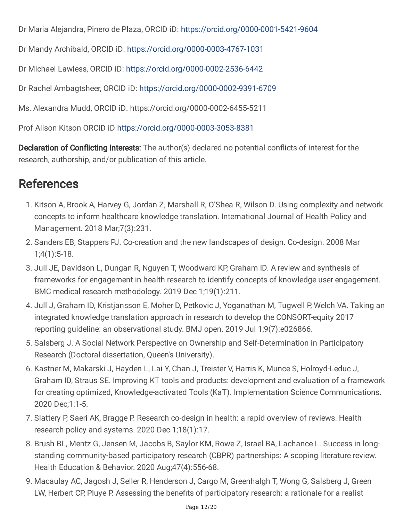Dr Maria Alejandra, Pinero de Plaza, ORCID iD: <https://orcid.org/0000-0001-5421-9604>

Dr Mandy Archibald, ORCID iD: <https://orcid.org/0000-0003-4767-1031>

Dr Michael Lawless, ORCID iD: <https://orcid.org/0000-0002-2536-6442>

Dr Rachel Ambagtsheer, ORCID iD: <https://orcid.org/0000-0002-9391-6709>

Ms. Alexandra Mudd, ORCID iD: https://orcid.org/0000-0002-6455-5211

Prof Alison Kitson ORCID iD <https://orcid.org/0000-0003-3053-8381>

**Declaration of Conflicting Interests:** The author(s) declared no potential conflicts of interest for the research, authorship, and/or publication of this article.

## References

- 1. Kitson A, Brook A, Harvey G, Jordan Z, Marshall R, O'Shea R, Wilson D. Using complexity and network concepts to inform healthcare knowledge translation. International Journal of Health Policy and Management. 2018 Mar;7(3):231.
- 2. Sanders EB, Stappers PJ. Co-creation and the new landscapes of design. Co-design. 2008 Mar 1;4(1):5-18.
- 3. Jull JE, Davidson L, Dungan R, Nguyen T, Woodward KP, Graham ID. A review and synthesis of frameworks for engagement in health research to identify concepts of knowledge user engagement. BMC medical research methodology. 2019 Dec 1;19(1):211.
- 4. Jull J, Graham ID, Kristjansson E, Moher D, Petkovic J, Yoganathan M, Tugwell P, Welch VA. Taking an integrated knowledge translation approach in research to develop the CONSORT-equity 2017 reporting guideline: an observational study. BMJ open. 2019 Jul 1;9(7):e026866.
- 5. Salsberg J. A Social Network Perspective on Ownership and Self-Determination in Participatory Research (Doctoral dissertation, Queen's University).
- 6. Kastner M, Makarski J, Hayden L, Lai Y, Chan J, Treister V, Harris K, Munce S, Holroyd-Leduc J, Graham ID, Straus SE. Improving KT tools and products: development and evaluation of a framework for creating optimized, Knowledge-activated Tools (KaT). Implementation Science Communications. 2020 Dec;1:1-5.
- 7. Slattery P, Saeri AK, Bragge P. Research co-design in health: a rapid overview of reviews. Health research policy and systems. 2020 Dec 1;18(1):17.
- 8. Brush BL, Mentz G, Jensen M, Jacobs B, Saylor KM, Rowe Z, Israel BA, Lachance L. Success in longstanding community-based participatory research (CBPR) partnerships: A scoping literature review. Health Education & Behavior. 2020 Aug;47(4):556-68.
- 9. Macaulay AC, Jagosh J, Seller R, Henderson J, Cargo M, Greenhalgh T, Wong G, Salsberg J, Green LW, Herbert CP, Pluye P. Assessing the benefits of participatory research: a rationale for a realist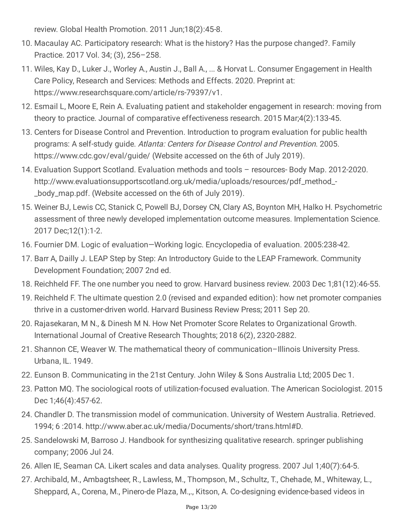review. Global Health Promotion. 2011 Jun;18(2):45-8.

- 10. Macaulay AC. Participatory research: What is the history? Has the purpose changed?. Family Practice. 2017 Vol. 34; (3), 256–258.
- 11. Wiles, Kay D., Luker J., Worley A., Austin J., Ball A., ... & Horvat L. Consumer Engagement in Health Care Policy, Research and Services: Methods and Effects. 2020. Preprint at: https://www.researchsquare.com/article/rs-79397/v1.
- 12. Esmail L, Moore E, Rein A. Evaluating patient and stakeholder engagement in research: moving from theory to practice. Journal of comparative effectiveness research. 2015 Mar;4(2):133-45.
- 13. Centers for Disease Control and Prevention. Introduction to program evaluation for public health programs: A self-study guide. Atlanta: Centers for Disease Control and Prevention. 2005. https://www.cdc.gov/eval/guide/ (Website accessed on the 6th of July 2019).
- 14. Evaluation Support Scotland. Evaluation methods and tools resources- Body Map. 2012-2020. http://www.evaluationsupportscotland.org.uk/media/uploads/resources/pdf\_method\_- \_body\_map.pdf. (Website accessed on the 6th of July 2019).
- 15. Weiner BJ, Lewis CC, Stanick C, Powell BJ, Dorsey CN, Clary AS, Boynton MH, Halko H. Psychometric assessment of three newly developed implementation outcome measures. Implementation Science. 2017 Dec;12(1):1-2.
- 16. Fournier DM. Logic of evaluation—Working logic. Encyclopedia of evaluation. 2005:238-42.
- 17. Barr A, Dailly J. LEAP Step by Step: An Introductory Guide to the LEAP Framework. Community Development Foundation; 2007 2nd ed.
- 18. Reichheld FF. The one number you need to grow. Harvard business review. 2003 Dec 1;81(12):46-55.
- 19. Reichheld F. The ultimate question 2.0 (revised and expanded edition): how net promoter companies thrive in a customer-driven world. Harvard Business Review Press; 2011 Sep 20.
- 20. Rajasekaran, M N., & Dinesh M N. How Net Promoter Score Relates to Organizational Growth. International Journal of Creative Research Thoughts; 2018 6(2), 2320-2882.
- 21. Shannon CE, Weaver W. The mathematical theory of communication–Illinois University Press. Urbana, IL. 1949.
- 22. Eunson B. Communicating in the 21st Century. John Wiley & Sons Australia Ltd; 2005 Dec 1.
- 23. Patton MQ. The sociological roots of utilization-focused evaluation. The American Sociologist. 2015 Dec 1;46(4):457-62.
- 24. Chandler D. The transmission model of communication. University of Western Australia. Retrieved. 1994; 6 :2014. http://www.aber.ac.uk/media/Documents/short/trans.html#D.
- 25. Sandelowski M, Barroso J. Handbook for synthesizing qualitative research. springer publishing company; 2006 Jul 24.
- 26. Allen IE, Seaman CA. Likert scales and data analyses. Quality progress. 2007 Jul 1;40(7):64-5.
- 27. Archibald, M., Ambagtsheer, R., Lawless, M., Thompson, M., Schultz, T., Chehade, M., Whiteway, L., Sheppard, A., Corena, M., Pinero-de Plaza, M.,., Kitson, A. Co-designing evidence-based videos in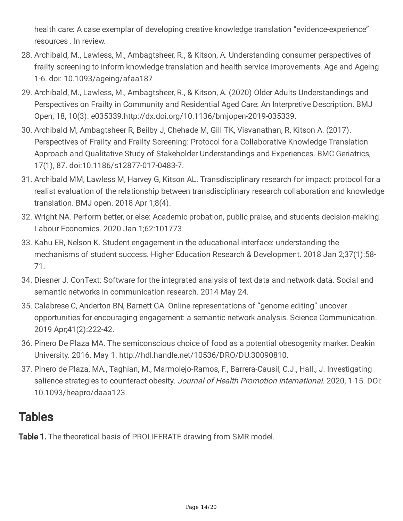health care: A case exemplar of developing creative knowledge translation "evidence-experience" resources . In review.

- 28. Archibald, M., Lawless, M., Ambagtsheer, R., & Kitson, A. Understanding consumer perspectives of frailty screening to inform knowledge translation and health service improvements. Age and Ageing 1-6. doi: 10.1093/ageing/afaa187
- 29. Archibald, M., Lawless, M., Ambagtsheer, R., & Kitson, A. (2020) Older Adults Understandings and Perspectives on Frailty in Community and Residential Aged Care: An Interpretive Description. BMJ Open, 18, 10(3): e035339.http://dx.doi.org/10.1136/bmjopen-2019-035339.
- 30. Archibald M, Ambagtsheer R, Beilby J, Chehade M, Gill TK, Visvanathan, R, Kitson A. (2017). Perspectives of Frailty and Frailty Screening: Protocol for a Collaborative Knowledge Translation Approach and Qualitative Study of Stakeholder Understandings and Experiences. BMC Geriatrics, 17(1), 87. doi:10.1186/s12877-017-0483-7.
- 31. Archibald MM, Lawless M, Harvey G, Kitson AL. Transdisciplinary research for impact: protocol for a realist evaluation of the relationship between transdisciplinary research collaboration and knowledge translation. BMJ open. 2018 Apr 1;8(4).
- 32. Wright NA. Perform better, or else: Academic probation, public praise, and students decision-making. Labour Economics. 2020 Jan 1;62:101773.
- 33. Kahu ER, Nelson K. Student engagement in the educational interface: understanding the mechanisms of student success. Higher Education Research & Development. 2018 Jan 2;37(1):58- 71.
- 34. Diesner J. ConText: Software for the integrated analysis of text data and network data. Social and semantic networks in communication research. 2014 May 24.
- 35. Calabrese C, Anderton BN, Barnett GA. Online representations of "genome editing" uncover opportunities for encouraging engagement: a semantic network analysis. Science Communication. 2019 Apr;41(2):222-42.
- 36. Pinero De Plaza MA. The semiconscious choice of food as a potential obesogenity marker. Deakin University. 2016. May 1. http://hdl.handle.net/10536/DRO/DU:30090810.
- 37. Pinero de Plaza, MA., Taghian, M., Marmolejo-Ramos, F., Barrera-Causil, C.J., Hall., J. Investigating salience strategies to counteract obesity. Journal of Health Promotion International. 2020, 1-15. DOI: 10.1093/heapro/daaa123.

### **Tables**

Table 1. The theoretical basis of PROLIFERATE drawing from SMR model.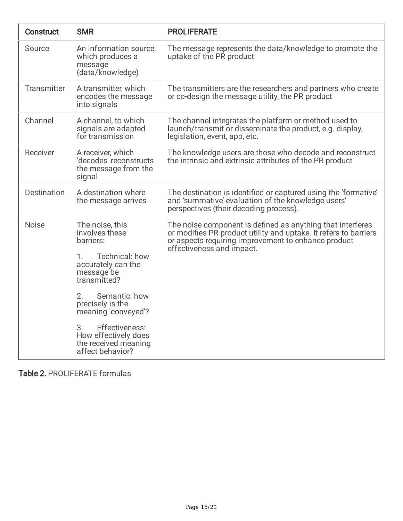| <b>Construct</b>   | <b>SMR</b>                                                                                                                                                                                                                                                                               | <b>PROLIFERATE</b>                                                                                                                                                                                                 |
|--------------------|------------------------------------------------------------------------------------------------------------------------------------------------------------------------------------------------------------------------------------------------------------------------------------------|--------------------------------------------------------------------------------------------------------------------------------------------------------------------------------------------------------------------|
| Source             | An information source,<br>which produces a<br>message<br>(data/knowledge)                                                                                                                                                                                                                | The message represents the data/knowledge to promote the<br>uptake of the PR product                                                                                                                               |
| Transmitter        | A transmitter, which<br>encodes the message<br>into signals                                                                                                                                                                                                                              | The transmitters are the researchers and partners who create<br>or co-design the message utility, the PR product                                                                                                   |
| Channel            | A channel, to which<br>signals are adapted<br>for transmission                                                                                                                                                                                                                           | The channel integrates the platform or method used to<br>launch/transmit or disseminate the product, e.g. display,<br>legislation, event, app, etc.                                                                |
| Receiver           | A receiver, which<br>'decodes' reconstructs<br>the message from the<br>signal                                                                                                                                                                                                            | The knowledge users are those who decode and reconstruct<br>the intrinsic and extrinsic attributes of the PR product                                                                                               |
| <b>Destination</b> | A destination where<br>the message arrives                                                                                                                                                                                                                                               | The destination is identified or captured using the 'formative'<br>and 'summative' evaluation of the knowledge users'<br>perspectives (their decoding process).                                                    |
| <b>Noise</b>       | The noise, this<br>involves these<br>barriers:<br>Technical: how<br>1.<br>accurately can the<br>message be<br>transmitted?<br>2.<br>Semantic: how<br>precisely is the<br>meaning 'conveyed'?<br>Effectiveness:<br>3.<br>How effectively does<br>the received meaning<br>affect behavior? | The noise component is defined as anything that interferes<br>or modifies PR product utility and uptake. It refers to barriers<br>or aspects requiring improvement to enhance product<br>effectiveness and impact. |

Table 2. PROLIFERATE formulas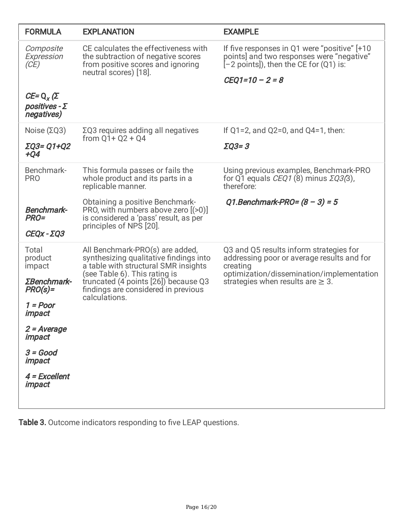| <b>FORMULA</b>                                           | <b>EXPLANATION</b>                                                                                                                                                                                                                                 | <b>EXAMPLE</b>                                                                                                                                                                           |  |  |
|----------------------------------------------------------|----------------------------------------------------------------------------------------------------------------------------------------------------------------------------------------------------------------------------------------------------|------------------------------------------------------------------------------------------------------------------------------------------------------------------------------------------|--|--|
| Composite<br>Expression<br>(CE)                          | CE calculates the effectiveness with<br>the subtraction of negative scores<br>from positive scores and ignoring<br>neutral scores) [18].                                                                                                           | If five responses in Q1 were "positive" [+10<br>points] and two responses were "negative"<br>$[-2$ points]), then the CE for $(Q1)$ is:<br>$CEQ1 = 10 - 2 = 8$                           |  |  |
| $CE = Q_x(\Sigma)$<br>positives - $\Sigma$<br>negatives) |                                                                                                                                                                                                                                                    |                                                                                                                                                                                          |  |  |
| Noise (ΣQ3)                                              | $\Sigma$ Q3 requires adding all negatives<br>from $Q1 + Q2 + Q4$                                                                                                                                                                                   | If $Q1 = 2$ , and $Q2 = 0$ , and $Q4 = 1$ , then:                                                                                                                                        |  |  |
| ΣQ3= Q1+Q2<br>$+Q4$                                      |                                                                                                                                                                                                                                                    | $\Sigma$ Q3=3                                                                                                                                                                            |  |  |
| Benchmark-<br><b>PRO</b>                                 | This formula passes or fails the<br>whole product and its parts in a<br>replicable manner.                                                                                                                                                         | Using previous examples, Benchmark-PRO<br>for Q1 equals <i>CEQ1</i> (8) minus $\Sigma$ <i>Q3</i> (3),<br>therefore:                                                                      |  |  |
| <b>Benchmark-</b><br><b>PRO=</b><br>$CEQX - ZQ3$         | Obtaining a positive Benchmark-<br>PRO, with numbers above zero $(50)$<br>is considered a 'pass' result, as per<br>principles of NPS [20].                                                                                                         | Q1.Benchmark-PRO= $(8 - 3) = 5$                                                                                                                                                          |  |  |
| Total<br>product<br>impact<br>ΣBenchmark-<br>$PRO(s) =$  | All Benchmark-PRO(s) are added,<br>synthesizing qualitative findings into<br>a table with structural SMR insights<br>(see Table 6). This rating is<br>truncated (4 points [26]) because Q3<br>findings are considered in previous<br>calculations. | Q3 and Q5 results inform strategies for<br>addressing poor or average results and for<br>creating<br>optimization/dissemination/implementation<br>strategies when results are $\geq 3$ . |  |  |
| 1 = Poor<br>impact                                       |                                                                                                                                                                                                                                                    |                                                                                                                                                                                          |  |  |
| 2 = Average<br>impact                                    |                                                                                                                                                                                                                                                    |                                                                                                                                                                                          |  |  |
| $3 = Good$<br>impact                                     |                                                                                                                                                                                                                                                    |                                                                                                                                                                                          |  |  |
| 4 = Excellent<br>impact                                  |                                                                                                                                                                                                                                                    |                                                                                                                                                                                          |  |  |

Table 3. Outcome indicators responding to five LEAP questions.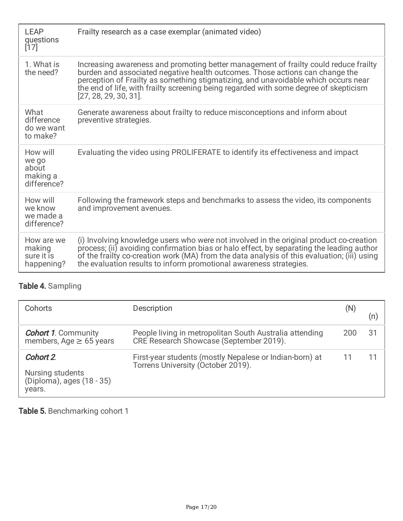| <b>LEAP</b><br>questions<br>$[17]$                    | Frailty research as a case exemplar (animated video)                                                                                                                                                                                                                                                                                                                            |
|-------------------------------------------------------|---------------------------------------------------------------------------------------------------------------------------------------------------------------------------------------------------------------------------------------------------------------------------------------------------------------------------------------------------------------------------------|
| 1. What is<br>the need?                               | Increasing awareness and promoting better management of frailty could reduce frailty<br>burden and associated negative health outcomes. Those actions can change the<br>perception of Frailty as something stigmatizing, and unavoidable which occurs near<br>the end of life, with frailty screening being regarded with some degree of skepticism<br>$[27, 28, 29, 30, 31]$ . |
| What<br>difference<br>do we want<br>to make?          | Generate awareness about frailty to reduce misconceptions and inform about<br>preventive strategies.                                                                                                                                                                                                                                                                            |
| How will<br>we go<br>about<br>making a<br>difference? | Evaluating the video using PROLIFERATE to identify its effectiveness and impact                                                                                                                                                                                                                                                                                                 |
| How will<br>we know<br>we made a<br>difference?       | Following the framework steps and benchmarks to assess the video, its components<br>and improvement avenues.                                                                                                                                                                                                                                                                    |
| How are we<br>making<br>sure it is<br>happening?      | (i) Involving knowledge users who were not involved in the original product co-creation<br>process; (ii) avoiding confirmation bias or halo effect, by separating the leading author<br>of the frailty co-creation work (MA) from the data analysis of this evaluation; (iii) using<br>the evaluation results to inform promotional awareness strategies.                       |

### Table 4. Sampling

| Cohorts                                                              | Description                                                                                        | (N) | (n) |
|----------------------------------------------------------------------|----------------------------------------------------------------------------------------------------|-----|-----|
| <b>Cohort 1. Community</b><br>members, Age $\geq$ 65 years           | People living in metropolitan South Australia attending<br>CRE Research Showcase (September 2019). | 200 | -31 |
| Cohort 2.<br>Nursing students<br>(Diploma), ages (18 - 35)<br>years. | First-year students (mostly Nepalese or Indian-born) at<br>Torrens University (October 2019).      |     |     |

Table 5. Benchmarking cohort 1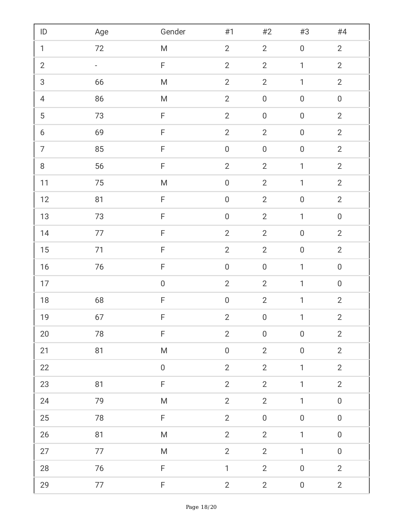| $\sf ID$                         | Age    | Gender                                                                                                     | $\#1$            | $#2$              | $\#3$            | #4               |
|----------------------------------|--------|------------------------------------------------------------------------------------------------------------|------------------|-------------------|------------------|------------------|
| $\mathbf{1}$                     | 72     | ${\sf M}$                                                                                                  | $\overline{2}$   | $\overline{2}$    | $\boldsymbol{0}$ | $\overline{2}$   |
| $\overline{2}$                   | ÷,     | $\mathsf F$                                                                                                | $\overline{2}$   | $\overline{2}$    | $\mathbf{1}$     | $\overline{2}$   |
| $\mathfrak{S}$                   | 66     | ${\sf M}$                                                                                                  | $\overline{2}$   | $\overline{2}$    | $\mathbf{1}$     | $\overline{2}$   |
| $\overline{4}$                   | 86     | ${\sf M}$                                                                                                  | $\overline{2}$   | $\boldsymbol{0}$  | $\boldsymbol{0}$ | $\boldsymbol{0}$ |
| $\overline{5}$                   | 73     | F                                                                                                          | $\overline{2}$   | $\boldsymbol{0}$  | $\boldsymbol{0}$ | $\overline{2}$   |
| $\boldsymbol{6}$                 | 69     | F                                                                                                          | $\overline{2}$   | $\overline{2}$    | $\boldsymbol{0}$ | $\overline{2}$   |
| $\overline{7}$                   | 85     | F                                                                                                          | $\boldsymbol{0}$ | $\boldsymbol{0}$  | $\boldsymbol{0}$ | $\overline{2}$   |
| $\begin{array}{c} 8 \end{array}$ | 56     | $\mathsf F$                                                                                                | $\overline{2}$   | $\overline{2}$    | $\mathbf{1}$     | $\overline{2}$   |
| $11$                             | 75     | ${\sf M}$                                                                                                  | $\boldsymbol{0}$ | $\overline{2}$    | $\mathbf{1}$     | $\overline{2}$   |
| 12                               | 81     | $\mathsf F$                                                                                                | $\boldsymbol{0}$ | $\overline{2}$    | $\boldsymbol{0}$ | $\overline{2}$   |
| 13                               | 73     | $\mathsf F$                                                                                                | $\boldsymbol{0}$ | $\overline{2}$    | $\mathbf{1}$     | $\boldsymbol{0}$ |
| 14                               | 77     | $\mathsf F$                                                                                                | $\overline{2}$   | $\overline{2}$    | $\boldsymbol{0}$ | $\overline{2}$   |
| $15\,$                           | 71     | F                                                                                                          | $\overline{2}$   | $\overline{2}$    | $\boldsymbol{0}$ | $\overline{2}$   |
| $16$                             | $76\,$ | $\mathsf F$                                                                                                | $\boldsymbol{0}$ | $\boldsymbol{0}$  | $\mathbf{1}$     | $\boldsymbol{0}$ |
| 17                               |        | $\boldsymbol{0}$                                                                                           | $\overline{2}$   | $\overline{2}$    | $\mathbf{1}$     | $\boldsymbol{0}$ |
| $18\,$                           | 68     | F                                                                                                          | $\boldsymbol{0}$ | $\overline{2}$    | $\mathbf{1}$     | $\overline{2}$   |
| 19                               | 67     | F.                                                                                                         | 2 <sup>1</sup>   | $0 \qquad \qquad$ | $1 -$            | $\overline{2}$   |
| $20\,$                           | 78     | $\mathsf F$                                                                                                | $\overline{2}$   | $\boldsymbol{0}$  | $\boldsymbol{0}$ | $\overline{2}$   |
| 21                               | 81     | $\mathsf{M}% _{T}=\mathsf{M}_{T}\!\left( a,b\right) ,\ \mathsf{M}_{T}=\mathsf{M}_{T}\!\left( a,b\right) ,$ | $\boldsymbol{0}$ | $\overline{2}$    | $\boldsymbol{0}$ | $\overline{2}$   |
| 22                               |        | $\boldsymbol{0}$                                                                                           | $\overline{2}$   | $\overline{2}$    | $\mathbf{1}$     | $\overline{2}$   |
| 23                               | 81     | F                                                                                                          | $\overline{2}$   | $\overline{2}$    | $\mathbf{1}$     | $\overline{2}$   |
| 24                               | 79     | ${\sf M}$                                                                                                  | $\overline{2}$   | $\overline{2}$    | $\mathbf{1}$     | $\boldsymbol{0}$ |
| $25\,$                           | 78     | F                                                                                                          | $\overline{2}$   | $\boldsymbol{0}$  | $\boldsymbol{0}$ | $\boldsymbol{0}$ |
| 26                               | 81     | ${\sf M}$                                                                                                  | $\overline{2}$   | $\overline{2}$    | $\mathbf{1}$     | $\boldsymbol{0}$ |
| 27                               | 77     | M                                                                                                          | $\overline{2}$   | $\overline{2}$    | $\mathbf{1}$     | $\boldsymbol{0}$ |
| $28\,$                           | 76     | F                                                                                                          | $\mathbf{1}$     | $\overline{2}$    | $\boldsymbol{0}$ | $\overline{2}$   |
| 29                               | 77     | F                                                                                                          | $\overline{2}$   | $\overline{2}$    | $\boldsymbol{0}$ | $\overline{2}$   |
|                                  |        | Page 18/20                                                                                                 |                  |                   |                  |                  |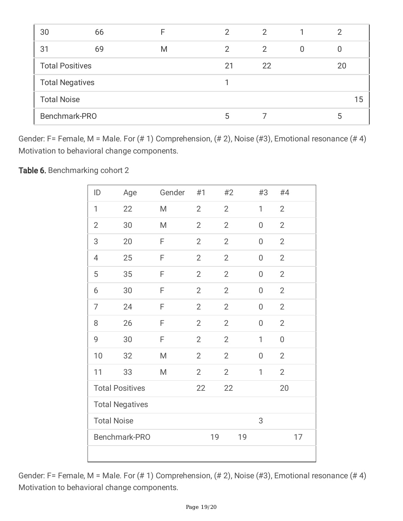| 30                     | 66 | F | $\mathcal{P}$ | 2  |   | 2  |    |
|------------------------|----|---|---------------|----|---|----|----|
| 31                     | 69 | M | 2             | 2  | 0 |    |    |
| <b>Total Positives</b> |    |   | 21            | 22 |   | 20 |    |
| <b>Total Negatives</b> |    |   |               |    |   |    |    |
| <b>Total Noise</b>     |    |   |               |    |   |    | 15 |
| Benchmark-PRO          |    |   | 5             |    |   | 5  |    |

Gender: F= Female, M = Male. For (# 1) Comprehension, (# 2), Noise (#3), Emotional resonance (# 4) Motivation to behavioral change components.

Table 6. Benchmarking cohort 2

| ID                     | Age                    | Gender | #1             | #2             | #3               | #4               |
|------------------------|------------------------|--------|----------------|----------------|------------------|------------------|
| 1                      | 22                     | M      | $\overline{2}$ | $\overline{2}$ | $\mathbf{1}$     | $\overline{2}$   |
| $\overline{2}$         | 30                     | M      | $\overline{2}$ | $\overline{2}$ | $\overline{0}$   | $\overline{2}$   |
| 3                      | 20                     | F      | $\overline{2}$ | $\overline{2}$ | 0                | $\overline{2}$   |
| 4                      | 25                     | F      | $\overline{2}$ | $\overline{2}$ | 0                | $\mathbf{2}$     |
| 5                      | 35                     | F      | $\overline{2}$ | $\overline{2}$ | $\overline{0}$   | $\mathbf{2}$     |
| 6                      | 30                     | F      | $\overline{2}$ | $\overline{2}$ | $\overline{0}$   | $\overline{2}$   |
| 7                      | 24                     | F      | $\overline{2}$ | $\overline{2}$ | $\overline{0}$   | $\overline{2}$   |
| 8                      | 26                     | F      | $\overline{2}$ | $\overline{2}$ | $\boldsymbol{0}$ | $\mathbf{2}$     |
| 9                      | 30                     | F      | $\overline{2}$ | $\overline{2}$ | 1                | $\boldsymbol{0}$ |
| 10                     | 32                     | M      | $\overline{2}$ | $\overline{2}$ | $\overline{0}$   | $\overline{2}$   |
| 11                     | 33                     | M      | $\overline{2}$ | $\overline{2}$ | 1                | $\overline{2}$   |
|                        | <b>Total Positives</b> |        |                | 22             |                  | 20               |
| <b>Total Negatives</b> |                        |        |                |                |                  |                  |
| <b>Total Noise</b>     |                        |        |                |                | 3                |                  |
| Benchmark-PRO<br>19    |                        |        |                | 19             |                  | 17               |
|                        |                        |        |                |                |                  |                  |

Gender: F= Female, M = Male. For (# 1) Comprehension, (# 2), Noise (#3), Emotional resonance (# 4) Motivation to behavioral change components.